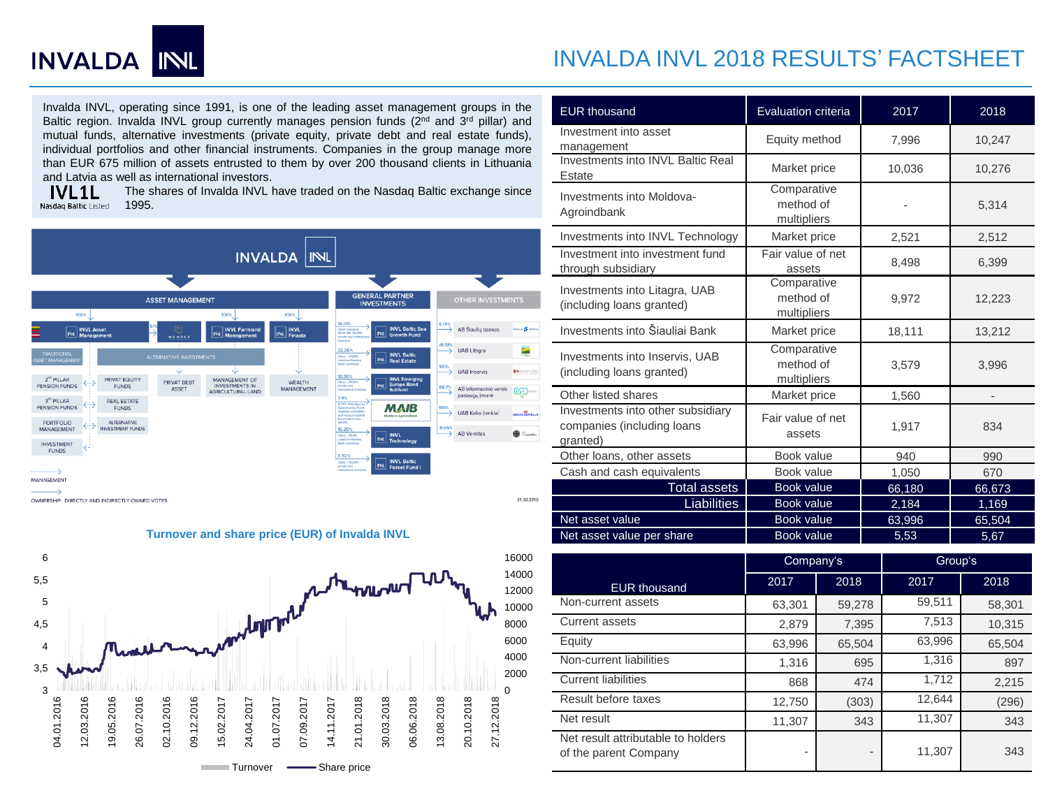

# INVALDA INVL 2018 RESULTS' FACTSHEET

Invalda INVL, operating since 1991, is one of the leading asset management groups in the Baltic region. Invalda INVL group currently manages pension funds (2<sup>nd</sup> and 3<sup>rd</sup> pillar) and mutual funds, alternative investments (private equity, private debt and real estate funds), individual portfolios and other financial instruments. Companies in the group manage more than EUR 675 million of assets entrusted to them by over 200 thousand clients in Lithuania and Latvia as well as international investors.<br> **VL1L** The shares of Invalda INVL

The shares of Invalda INVL have traded on the Nasdaq Baltic exchange since Nasdag Baltic Listed 1995.





**Turnover and share price (EUR) of Invalda INVL**

| <b>EUR thousand</b>                                                         | Evaluation criteria                     | 2017   |        | 2018           |                |  |
|-----------------------------------------------------------------------------|-----------------------------------------|--------|--------|----------------|----------------|--|
| Investment into asset<br>management                                         | Equity method<br>7,996                  |        | 10,247 |                |                |  |
| Investments into INVL Baltic Real<br>Estate                                 | Market price                            |        | 10,036 |                | 10,276         |  |
| Investments into Moldova-<br>Agroindbank                                    | Comparative<br>method of<br>multipliers |        |        |                | 5,314          |  |
| Investments into INVL Technology                                            | Market price                            |        |        | 2,521          | 2,512          |  |
| Investment into investment fund<br>through subsidiary                       | Fair value of net<br>assets             |        |        | 8,498          | 6,399          |  |
| Investments into Litagra, UAB<br>(including loans granted)                  | Comparative<br>method of<br>multipliers |        |        | 9,972          | 12,223         |  |
| Investments into Šiauliai Bank                                              | Market price                            |        |        | 18,111         | 13,212         |  |
| Investments into Inservis, UAB<br>(including loans granted)                 | Comparative<br>method of<br>multipliers |        |        | 3,579          | 3,996          |  |
| Other listed shares                                                         | Market price                            |        | 1,560  |                |                |  |
| Investments into other subsidiary<br>companies (including loans<br>qranted) | Fair value of net<br>assets             |        |        | 1,917          | 834            |  |
| Other loans, other assets                                                   | Book value                              | 940    |        |                | 990            |  |
| Cash and cash equivalents                                                   | Book value                              |        | 1,050  |                | 670            |  |
| <b>Total assets</b>                                                         | Book value                              |        | 66,180 |                | 66,673         |  |
| <b>Liabilities</b>                                                          | Book value                              |        |        | 2,184          | 1,169          |  |
| Net asset value<br>Net asset value per share                                | <b>Book value</b><br>Book value         |        |        | 63,996<br>5,53 | 65,504<br>5,67 |  |
|                                                                             |                                         |        |        |                |                |  |
|                                                                             | Company's                               |        |        |                | Group's        |  |
| <b>EUR thousand</b>                                                         | 2017                                    | 2018   |        | 2017           | 2018           |  |
| Non-current assets                                                          | 63,301                                  | 59,278 |        | 59,511         | 58,301         |  |
| <b>Current assets</b>                                                       | 2,879                                   | 7,395  |        | 7,513          | 10,315         |  |
| Equity                                                                      | 63,996                                  | 65,504 | 63,996 |                | 65,504         |  |
| Non-current liabilities                                                     | 1,316                                   |        | 695    | 1,316          | 897            |  |
| <b>Current liabilities</b>                                                  | 868                                     |        | 474    | 1,712          | 2,215          |  |
| Result before taxes                                                         | 12,750                                  | (303)  | 12,644 |                | (296)          |  |
| Net result                                                                  | 11,307                                  |        | 343    | 11,307         | 343            |  |
| Net result attributable to holders<br>of the parent Company                 |                                         |        |        | 11,307         | 343            |  |